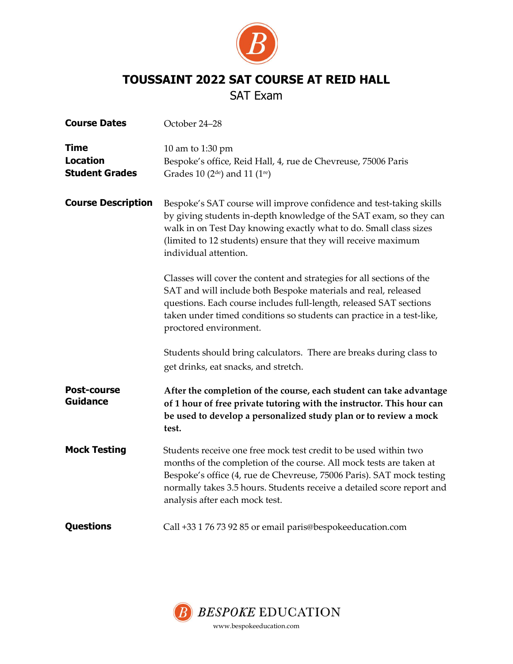

## TOUSSAINT 2022 SAT COURSE AT REID HALL

SAT Exam

| <b>Course Dates</b>                                     | October 24-28                                                                                                                                                                                                                                                                                                                |
|---------------------------------------------------------|------------------------------------------------------------------------------------------------------------------------------------------------------------------------------------------------------------------------------------------------------------------------------------------------------------------------------|
| <b>Time</b><br><b>Location</b><br><b>Student Grades</b> | 10 am to $1:30$ pm<br>Bespoke's office, Reid Hall, 4, rue de Chevreuse, 75006 Paris<br>Grades 10 ( $2^{de}$ ) and 11 ( $1^{re}$ )                                                                                                                                                                                            |
| <b>Course Description</b>                               | Bespoke's SAT course will improve confidence and test-taking skills<br>by giving students in-depth knowledge of the SAT exam, so they can<br>walk in on Test Day knowing exactly what to do. Small class sizes<br>(limited to 12 students) ensure that they will receive maximum<br>individual attention.                    |
|                                                         | Classes will cover the content and strategies for all sections of the<br>SAT and will include both Bespoke materials and real, released<br>questions. Each course includes full-length, released SAT sections<br>taken under timed conditions so students can practice in a test-like,<br>proctored environment.             |
|                                                         | Students should bring calculators. There are breaks during class to<br>get drinks, eat snacks, and stretch.                                                                                                                                                                                                                  |
| <b>Post-course</b><br><b>Guidance</b>                   | After the completion of the course, each student can take advantage<br>of 1 hour of free private tutoring with the instructor. This hour can<br>be used to develop a personalized study plan or to review a mock<br>test.                                                                                                    |
| <b>Mock Testing</b>                                     | Students receive one free mock test credit to be used within two<br>months of the completion of the course. All mock tests are taken at<br>Bespoke's office (4, rue de Chevreuse, 75006 Paris). SAT mock testing<br>normally takes 3.5 hours. Students receive a detailed score report and<br>analysis after each mock test. |
| <b>Questions</b>                                        | Call +33 1 76 73 92 85 or email paris@bespokeeducation.com                                                                                                                                                                                                                                                                   |